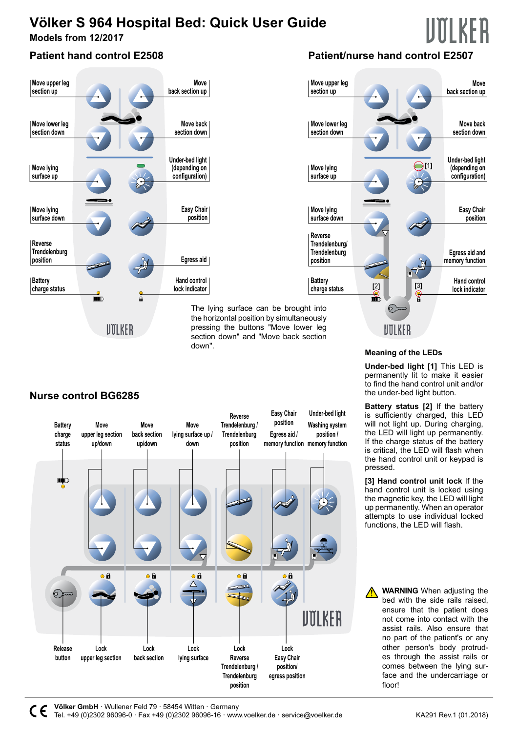# **Völker S 964 Hospital Bed: Quick User Guide**

**Models from 12/2017**

### **Patient hand control E2508**



## **Patient/nurse hand control E2507**



**Nurse control BG6285**



down".

**Meaning of the LEDs** 

**Under-bed light [1]** This LED is permanently lit to make it easier to find the hand control unit and/or the under-bed light button.

**Battery status [2]** If the battery is sufficiently charged, this LED will not light up. During charging, the LED will light up permanently. If the charge status of the battery is critical, the LED will flash when the hand control unit or keypad is pressed.

**[3] Hand control unit lock** If the hand control unit is locked using the magnetic key, the LED will light up permanently. When an operator attempts to use individual locked functions, the LED will flash.

**WARNING** When adjusting the bed with the side rails raised, ensure that the patient does not come into contact with the assist rails. Also ensure that no part of the patient's or any other person's body protrudes through the assist rails or comes between the lying surface and the undercarriage or floor!